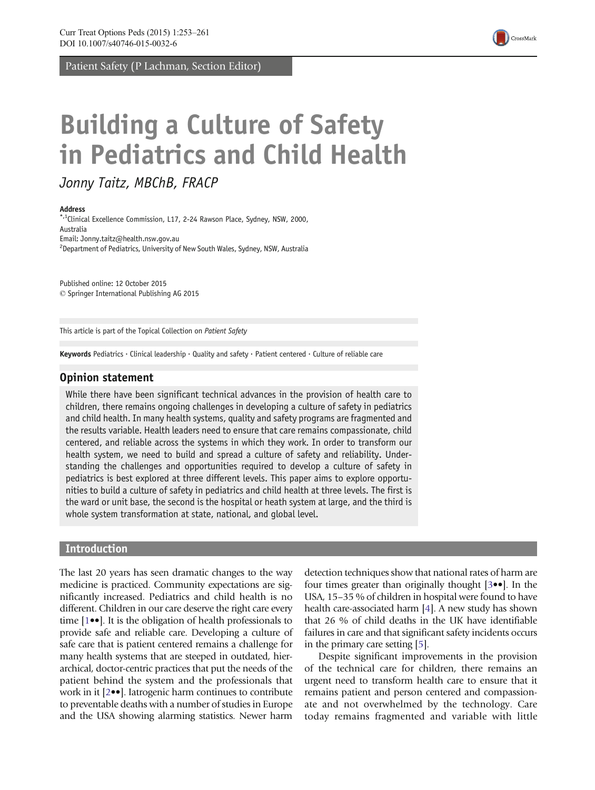Patient Safety (P Lachman, Section Editor)



# Building a Culture of Safety in Pediatrics and Child Health

### Jonny Taitz, MBChB, FRACP

#### Address

\*,1 Clinical Excellence Commission, L17, 2-24 Rawson Place, Sydney, NSW, 2000, Australia

Email: Jonny.taitz@health.nsw.gov.au

<sup>2</sup>Department of Pediatrics, University of New South Wales, Sydney, NSW, Australia

Published online: 12 October 2015  $\oslash$  Springer International Publishing AG 2015

This article is part of the Topical Collection on Patient Safety

Keywords Pediatrics  $\cdot$  Clinical leadership  $\cdot$  Quality and safety  $\cdot$  Patient centered  $\cdot$  Culture of reliable care

#### Opinion statement

While there have been significant technical advances in the provision of health care to children, there remains ongoing challenges in developing a culture of safety in pediatrics and child health. In many health systems, quality and safety programs are fragmented and the results variable. Health leaders need to ensure that care remains compassionate, child centered, and reliable across the systems in which they work. In order to transform our health system, we need to build and spread a culture of safety and reliability. Understanding the challenges and opportunities required to develop a culture of safety in pediatrics is best explored at three different levels. This paper aims to explore opportunities to build a culture of safety in pediatrics and child health at three levels. The first is the ward or unit base, the second is the hospital or heath system at large, and the third is whole system transformation at state, national, and global level.

#### Introduction

The last 20 years has seen dramatic changes to the way medicine is practiced. Community expectations are significantly increased. Pediatrics and child health is no different. Children in our care deserve the right care every time [[1](#page-7-0)••]. It is the obligation of health professionals to provide safe and reliable care. Developing a culture of safe care that is patient centered remains a challenge for many health systems that are steeped in outdated, hierarchical, doctor-centric practices that put the needs of the patient behind the system and the professionals that work in it [[2](#page-7-0)••]. Iatrogenic harm continues to contribute to preventable deaths with a number of studies in Europe and the USA showing alarming statistics. Newer harm

detection techniques show that national rates of harm are four times greater than originally thought [\[3](#page-7-0)••]. In the USA, 15–35 % of children in hospital were found to have health care-associated harm [[4\]](#page-8-0). A new study has shown that 26 % of child deaths in the UK have identifiable failures in care and that significant safety incidents occurs in the primary care setting [[5](#page-8-0)].

Despite significant improvements in the provision of the technical care for children, there remains an urgent need to transform health care to ensure that it remains patient and person centered and compassionate and not overwhelmed by the technology. Care today remains fragmented and variable with little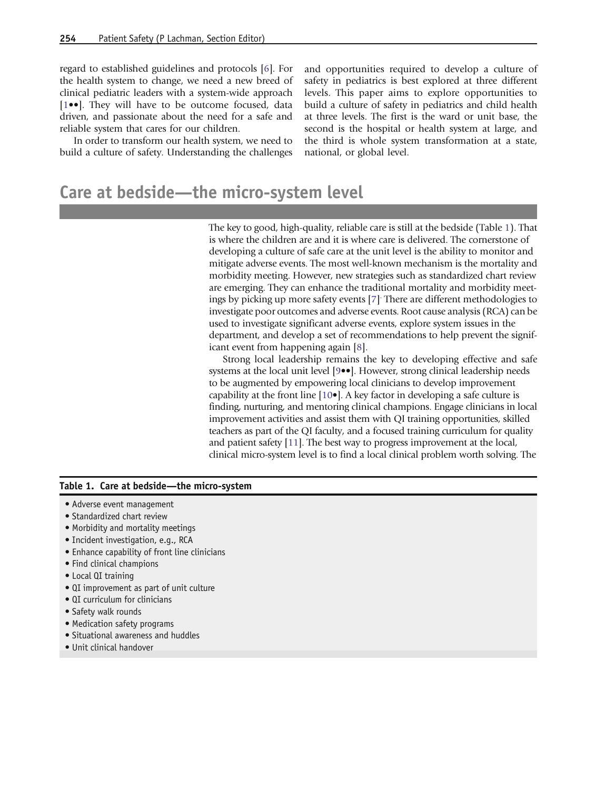regard to established guidelines and protocols [\[6\]](#page-8-0). For the health system to change, we need a new breed of clinical pediatric leaders with a system-wide approach [\[1](#page-7-0)••]. They will have to be outcome focused, data driven, and passionate about the need for a safe and reliable system that cares for our children.

In order to transform our health system, we need to build a culture of safety. Understanding the challenges

and opportunities required to develop a culture of safety in pediatrics is best explored at three different levels. This paper aims to explore opportunities to build a culture of safety in pediatrics and child health at three levels. The first is the ward or unit base, the second is the hospital or health system at large, and the third is whole system transformation at a state, national, or global level.

# Care at bedside—the micro-system level

The key to good, high-quality, reliable care is still at the bedside (Table 1). That is where the children are and it is where care is delivered. The cornerstone of developing a culture of safe care at the unit level is the ability to monitor and mitigate adverse events. The most well-known mechanism is the mortality and morbidity meeting. However, new strategies such as standardized chart review are emerging. They can enhance the traditional mortality and morbidity meetings by picking up more safety events [[7](#page-8-0)] . There are different methodologies to investigate poor outcomes and adverse events. Root cause analysis (RCA) can be used to investigate significant adverse events, explore system issues in the department, and develop a set of recommendations to help prevent the significant event from happening again [\[8](#page-8-0)].

Strong local leadership remains the key to developing effective and safe systems at the local unit level [\[9](#page-8-0)••]. However, strong clinical leadership needs to be augmented by empowering local clinicians to develop improvement capability at the front line [\[10](#page-8-0)•]. A key factor in developing a safe culture is finding, nurturing, and mentoring clinical champions. Engage clinicians in local improvement activities and assist them with QI training opportunities, skilled teachers as part of the QI faculty, and a focused training curriculum for quality and patient safety [\[11\]](#page-8-0). The best way to progress improvement at the local, clinical micro-system level is to find a local clinical problem worth solving. The

#### Table 1. Care at bedside—the micro-system

- Adverse event management
- Standardized chart review
- Morbidity and mortality meetings
- Incident investigation, e.g., RCA
- Enhance capability of front line clinicians
- Find clinical champions
- Local QI training
- QI improvement as part of unit culture
- QI curriculum for clinicians
- Safety walk rounds
- Medication safety programs
- Situational awareness and huddles
- Unit clinical handover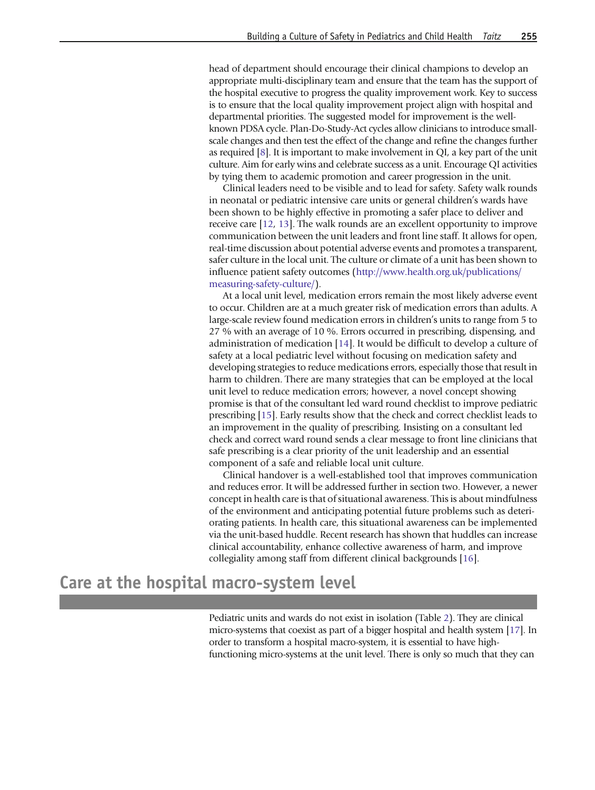head of department should encourage their clinical champions to develop an appropriate multi-disciplinary team and ensure that the team has the support of the hospital executive to progress the quality improvement work. Key to success is to ensure that the local quality improvement project align with hospital and departmental priorities. The suggested model for improvement is the wellknown PDSA cycle. Plan-Do-Study-Act cycles allow clinicians to introduce smallscale changes and then test the effect of the change and refine the changes further as required [\[8\]](#page-8-0). It is important to make involvement in QI, a key part of the unit culture. Aim for early wins and celebrate success as a unit. Encourage QI activities by tying them to academic promotion and career progression in the unit.

Clinical leaders need to be visible and to lead for safety. Safety walk rounds in neonatal or pediatric intensive care units or general children's wards have been shown to be highly effective in promoting a safer place to deliver and receive care [[12,](#page-8-0) [13](#page-8-0)]. The walk rounds are an excellent opportunity to improve communication between the unit leaders and front line staff. It allows for open, real-time discussion about potential adverse events and promotes a transparent, safer culture in the local unit. The culture or climate of a unit has been shown to influence patient safety outcomes ([http://www.health.org.uk/publications/](http://www.health.org.uk/publications/measuring-safety-culture/) [measuring-safety-culture/](http://www.health.org.uk/publications/measuring-safety-culture/)).

At a local unit level, medication errors remain the most likely adverse event to occur. Children are at a much greater risk of medication errors than adults. A large-scale review found medication errors in children's units to range from 5 to 27 % with an average of 10 %. Errors occurred in prescribing, dispensing, and administration of medication [[14](#page-8-0)]. It would be difficult to develop a culture of safety at a local pediatric level without focusing on medication safety and developing strategies to reduce medications errors, especially those that result in harm to children. There are many strategies that can be employed at the local unit level to reduce medication errors; however, a novel concept showing promise is that of the consultant led ward round checklist to improve pediatric prescribing [\[15](#page-8-0)]. Early results show that the check and correct checklist leads to an improvement in the quality of prescribing. Insisting on a consultant led check and correct ward round sends a clear message to front line clinicians that safe prescribing is a clear priority of the unit leadership and an essential component of a safe and reliable local unit culture.

Clinical handover is a well-established tool that improves communication and reduces error. It will be addressed further in section two. However, a newer concept in health care is that of situational awareness. This is about mindfulness of the environment and anticipating potential future problems such as deteriorating patients. In health care, this situational awareness can be implemented via the unit-based huddle. Recent research has shown that huddles can increase clinical accountability, enhance collective awareness of harm, and improve collegiality among staff from different clinical backgrounds [\[16](#page-8-0)].

# Care at the hospital macro-system level

Pediatric units and wards do not exist in isolation (Table 2). They are clinical micro-systems that coexist as part of a bigger hospital and health system [\[17\]](#page-8-0). In order to transform a hospital macro-system, it is essential to have highfunctioning micro-systems at the unit level. There is only so much that they can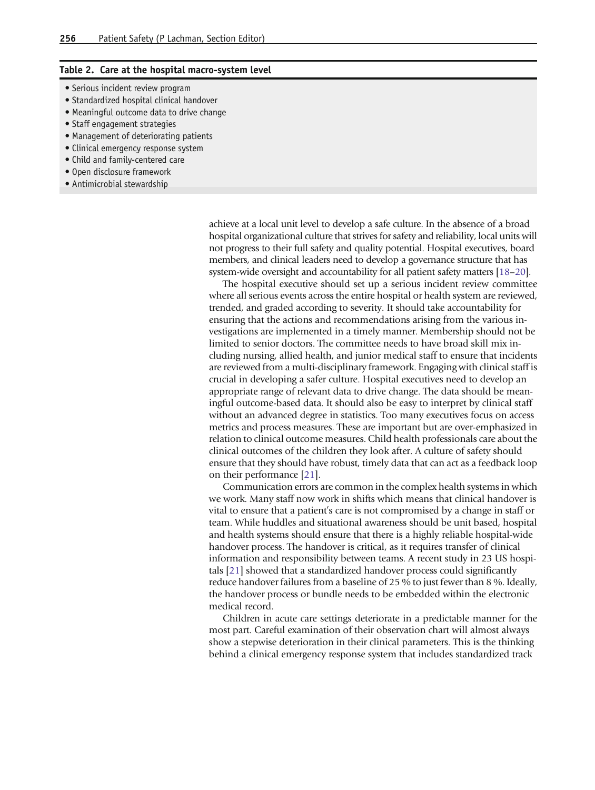#### Table 2. Care at the hospital macro-system level

- Serious incident review program
- Standardized hospital clinical handover
- Meaningful outcome data to drive change
- Staff engagement strategies
- Management of deteriorating patients
- Clinical emergency response system
- Child and family-centered care
- Open disclosure framework
- Antimicrobial stewardship

achieve at a local unit level to develop a safe culture. In the absence of a broad hospital organizational culture that strives for safety and reliability, local units will not progress to their full safety and quality potential. Hospital executives, board members, and clinical leaders need to develop a governance structure that has system-wide oversight and accountability for all patient safety matters [[18](#page-8-0)–[20](#page-8-0)].

The hospital executive should set up a serious incident review committee where all serious events across the entire hospital or health system are reviewed, trended, and graded according to severity. It should take accountability for ensuring that the actions and recommendations arising from the various investigations are implemented in a timely manner. Membership should not be limited to senior doctors. The committee needs to have broad skill mix including nursing, allied health, and junior medical staff to ensure that incidents are reviewed from a multi-disciplinary framework. Engaging with clinical staff is crucial in developing a safer culture. Hospital executives need to develop an appropriate range of relevant data to drive change. The data should be meaningful outcome-based data. It should also be easy to interpret by clinical staff without an advanced degree in statistics. Too many executives focus on access metrics and process measures. These are important but are over-emphasized in relation to clinical outcome measures. Child health professionals care about the clinical outcomes of the children they look after. A culture of safety should ensure that they should have robust, timely data that can act as a feedback loop on their performance [\[21](#page-8-0)].

Communication errors are common in the complex health systems in which we work. Many staff now work in shifts which means that clinical handover is vital to ensure that a patient's care is not compromised by a change in staff or team. While huddles and situational awareness should be unit based, hospital and health systems should ensure that there is a highly reliable hospital-wide handover process. The handover is critical, as it requires transfer of clinical information and responsibility between teams. A recent study in 23 US hospitals [\[21](#page-8-0)] showed that a standardized handover process could significantly reduce handover failures from a baseline of 25 % to just fewer than 8 %. Ideally, the handover process or bundle needs to be embedded within the electronic medical record.

Children in acute care settings deteriorate in a predictable manner for the most part. Careful examination of their observation chart will almost always show a stepwise deterioration in their clinical parameters. This is the thinking behind a clinical emergency response system that includes standardized track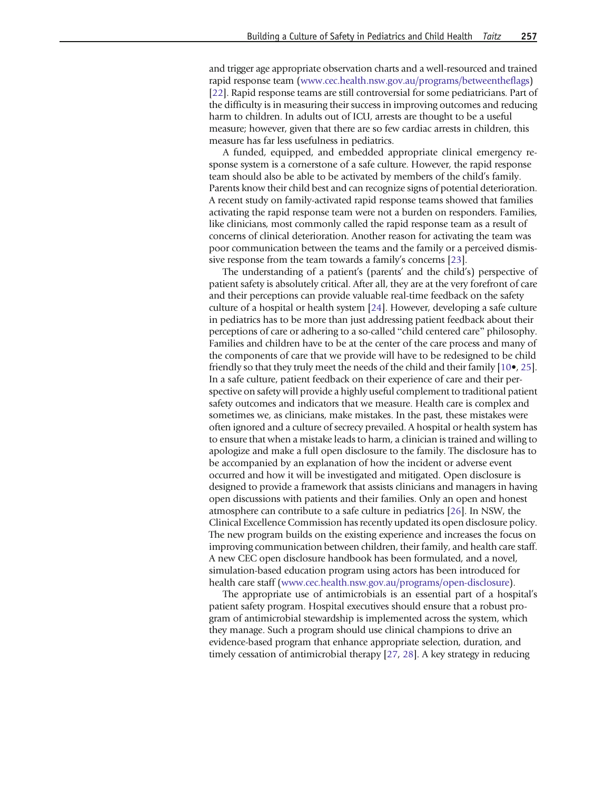and trigger age appropriate observation charts and a well-resourced and trained rapid response team [\(www.cec.health.nsw.gov.au/programs/betweentheflags\)](http://www.cec.health.nsw.gov.au/programs/betweentheflags) [[22](#page-8-0)]. Rapid response teams are still controversial for some pediatricians. Part of the difficulty is in measuring their success in improving outcomes and reducing harm to children. In adults out of ICU, arrests are thought to be a useful measure; however, given that there are so few cardiac arrests in children, this measure has far less usefulness in pediatrics.

A funded, equipped, and embedded appropriate clinical emergency response system is a cornerstone of a safe culture. However, the rapid response team should also be able to be activated by members of the child's family. Parents know their child best and can recognize signs of potential deterioration. A recent study on family-activated rapid response teams showed that families activating the rapid response team were not a burden on responders. Families, like clinicians, most commonly called the rapid response team as a result of concerns of clinical deterioration. Another reason for activating the team was poor communication between the teams and the family or a perceived dismissive response from the team towards a family's concerns [\[23](#page-8-0)].

The understanding of a patient's (parents' and the child's) perspective of patient safety is absolutely critical. After all, they are at the very forefront of care and their perceptions can provide valuable real-time feedback on the safety culture of a hospital or health system [\[24](#page-8-0)]. However, developing a safe culture in pediatrics has to be more than just addressing patient feedback about their perceptions of care or adhering to a so-called "child centered care" philosophy. Families and children have to be at the center of the care process and many of the components of care that we provide will have to be redesigned to be child friendly so that they truly meet the needs of the child and their family [\[10](#page-8-0)•, [25](#page-8-0)]. In a safe culture, patient feedback on their experience of care and their perspective on safety will provide a highly useful complement to traditional patient safety outcomes and indicators that we measure. Health care is complex and sometimes we, as clinicians, make mistakes. In the past, these mistakes were often ignored and a culture of secrecy prevailed. A hospital or health system has to ensure that when a mistake leads to harm, a clinician is trained and willing to apologize and make a full open disclosure to the family. The disclosure has to be accompanied by an explanation of how the incident or adverse event occurred and how it will be investigated and mitigated. Open disclosure is designed to provide a framework that assists clinicians and managers in having open discussions with patients and their families. Only an open and honest atmosphere can contribute to a safe culture in pediatrics [[26\]](#page-8-0). In NSW, the Clinical Excellence Commission has recently updated its open disclosure policy. The new program builds on the existing experience and increases the focus on improving communication between children, their family, and health care staff. A new CEC open disclosure handbook has been formulated, and a novel, simulation-based education program using actors has been introduced for health care staff ([www.cec.health.nsw.gov.au/programs/open-disclosure\)](http://www.cec.health.nsw.gov.au/programs/open-disclosure).

The appropriate use of antimicrobials is an essential part of a hospital's patient safety program. Hospital executives should ensure that a robust program of antimicrobial stewardship is implemented across the system, which they manage. Such a program should use clinical champions to drive an evidence-based program that enhance appropriate selection, duration, and timely cessation of antimicrobial therapy [\[27](#page-8-0), [28](#page-8-0)]. A key strategy in reducing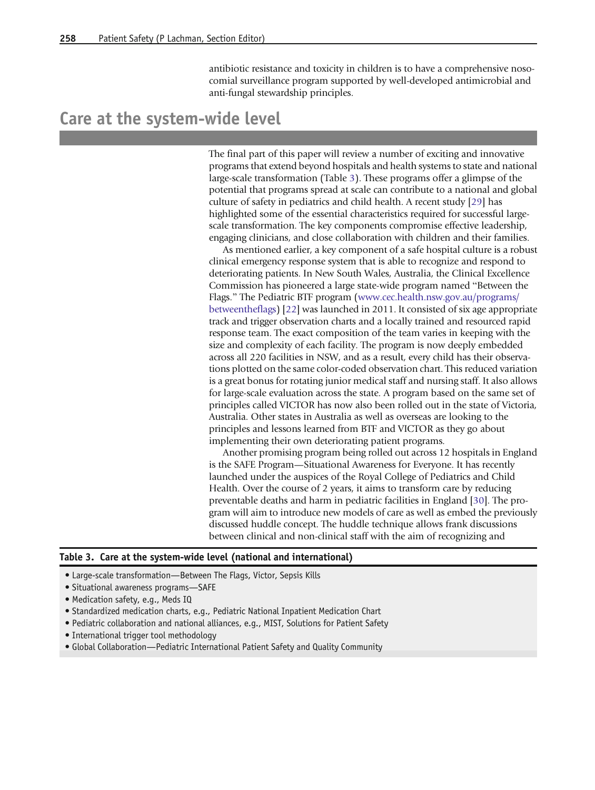antibiotic resistance and toxicity in children is to have a comprehensive nosocomial surveillance program supported by well-developed antimicrobial and anti-fungal stewardship principles.

# Care at the system-wide level

The final part of this paper will review a number of exciting and innovative programs that extend beyond hospitals and health systems to state and national large-scale transformation (Table 3). These programs offer a glimpse of the potential that programs spread at scale can contribute to a national and global culture of safety in pediatrics and child health. A recent study [[29\]](#page-8-0) has highlighted some of the essential characteristics required for successful largescale transformation. The key components compromise effective leadership, engaging clinicians, and close collaboration with children and their families.

As mentioned earlier, a key component of a safe hospital culture is a robust clinical emergency response system that is able to recognize and respond to deteriorating patients. In New South Wales, Australia, the Clinical Excellence Commission has pioneered a large state-wide program named "Between the Flags." The Pediatric BTF program [\(www.cec.health.nsw.gov.au/programs/](http://www.cec.health.nsw.gov.au/programs/betweentheflags) [betweentheflags](http://www.cec.health.nsw.gov.au/programs/betweentheflags)) [\[22\]](#page-8-0) was launched in 2011. It consisted of six age appropriate track and trigger observation charts and a locally trained and resourced rapid response team. The exact composition of the team varies in keeping with the size and complexity of each facility. The program is now deeply embedded across all 220 facilities in NSW, and as a result, every child has their observations plotted on the same color-coded observation chart. This reduced variation is a great bonus for rotating junior medical staff and nursing staff. It also allows for large-scale evaluation across the state. A program based on the same set of principles called VICTOR has now also been rolled out in the state of Victoria, Australia. Other states in Australia as well as overseas are looking to the principles and lessons learned from BTF and VICTOR as they go about implementing their own deteriorating patient programs.

Another promising program being rolled out across 12 hospitals in England is the SAFE Program—Situational Awareness for Everyone. It has recently launched under the auspices of the Royal College of Pediatrics and Child Health. Over the course of 2 years, it aims to transform care by reducing preventable deaths and harm in pediatric facilities in England [[30\]](#page-8-0). The program will aim to introduce new models of care as well as embed the previously discussed huddle concept. The huddle technique allows frank discussions between clinical and non-clinical staff with the aim of recognizing and

#### Table 3. Care at the system-wide level (national and international)

- Large-scale transformation—Between The Flags, Victor, Sepsis Kills
- Situational awareness programs—SAFE
- Medication safety, e.g., Meds IQ
- Standardized medication charts, e.g., Pediatric National Inpatient Medication Chart
- Pediatric collaboration and national alliances, e.g., MIST, Solutions for Patient Safety
- International trigger tool methodology
- Global Collaboration—Pediatric International Patient Safety and Quality Community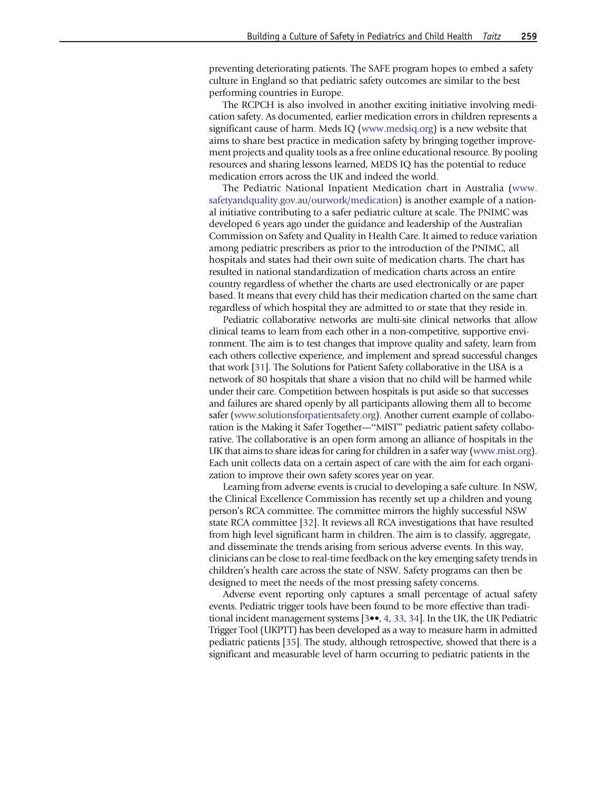preventing deteriorating patients. The SAFE program hopes to embed a safety culture in England so that pediatric safety outcomes are similar to the best performing countries in Europe.

The RCPCH is also involved in another exciting initiative involving medication safety. As documented, earlier medication errors in children represents a significant cause of harm. Meds IQ [\(www.medsiq.org\)](http://www.medsiq.org/) is a new website that aims to share best practice in medication safety by bringing together improvement projects and quality tools as a free online educational resource. By pooling resources and sharing lessons learned, MEDS IQ has the potential to reduce medication errors across the UK and indeed the world.

The Pediatric National Inpatient Medication chart in Australia [\(www.](http://www.safetyandquality.gov.au/ourwork/medication) [safetyandquality.gov.au/ourwork/medication\)](http://www.safetyandquality.gov.au/ourwork/medication) is another example of a national initiative contributing to a safer pediatric culture at scale. The PNIMC was developed 6 years ago under the guidance and leadership of the Australian Commission on Safety and Quality in Health Care. It aimed to reduce variation among pediatric prescribers as prior to the introduction of the PNIMC, all hospitals and states had their own suite of medication charts. The chart has resulted in national standardization of medication charts across an entire country regardless of whether the charts are used electronically or are paper based. It means that every child has their medication charted on the same chart regardless of which hospital they are admitted to or state that they reside in.

Pediatric collaborative networks are multi-site clinical networks that allow clinical teams to learn from each other in a non-competitive, supportive environment. The aim is to test changes that improve quality and safety, learn from each others collective experience, and implement and spread successful changes that work [\[31\]](#page-8-0). The Solutions for Patient Safety collaborative in the USA is a network of 80 hospitals that share a vision that no child will be harmed while under their care. Competition between hospitals is put aside so that successes and failures are shared openly by all participants allowing them all to become safer ([www.solutionsforpatientsafety.org\)](http://www.solutionsforpatientsafety.org/). Another current example of collaboration is the Making it Safer Together—"MIST" pediatric patient safety collaborative. The collaborative is an open form among an alliance of hospitals in the UK that aims to share ideas for caring for children in a safer way [\(www.mist.org\)](http://www.mist.org/). Each unit collects data on a certain aspect of care with the aim for each organization to improve their own safety scores year on year.

Learning from adverse events is crucial to developing a safe culture. In NSW, the Clinical Excellence Commission has recently set up a children and young person's RCA committee. The committee mirrors the highly successful NSW state RCA committee [\[32](#page-8-0)]. It reviews all RCA investigations that have resulted from high level significant harm in children. The aim is to classify, aggregate, and disseminate the trends arising from serious adverse events. In this way, clinicians can be close to real-time feedback on the key emerging safety trends in children's health care across the state of NSW. Safety programs can then be designed to meet the needs of the most pressing safety concerns.

Adverse event reporting only captures a small percentage of actual safety events. Pediatric trigger tools have been found to be more effective than traditional incident management systems [[3](#page-7-0)••, [4](#page-8-0), [33,](#page-8-0) [34\]](#page-8-0). In the UK, the UK Pediatric Trigger Tool (UKPTT) has been developed as a way to measure harm in admitted pediatric patients [\[35\]](#page-8-0). The study, although retrospective, showed that there is a significant and measurable level of harm occurring to pediatric patients in the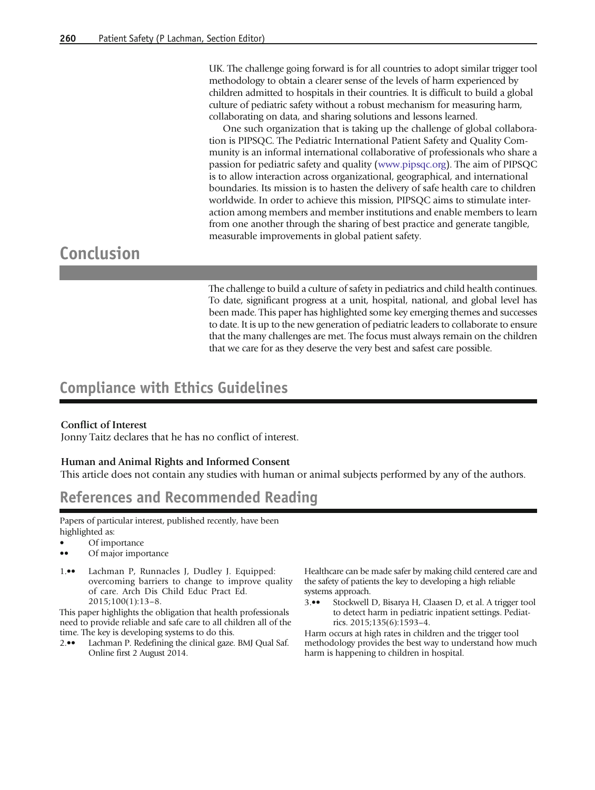<span id="page-7-0"></span>UK. The challenge going forward is for all countries to adopt similar trigger tool methodology to obtain a clearer sense of the levels of harm experienced by children admitted to hospitals in their countries. It is difficult to build a global culture of pediatric safety without a robust mechanism for measuring harm, collaborating on data, and sharing solutions and lessons learned.

One such organization that is taking up the challenge of global collaboration is PIPSQC. The Pediatric International Patient Safety and Quality Community is an informal international collaborative of professionals who share a passion for pediatric safety and quality ([www.pipsqc.org](http://www.pipsqc.org/)). The aim of PIPSQC is to allow interaction across organizational, geographical, and international boundaries. Its mission is to hasten the delivery of safe health care to children worldwide. In order to achieve this mission, PIPSQC aims to stimulate interaction among members and member institutions and enable members to learn from one another through the sharing of best practice and generate tangible, measurable improvements in global patient safety.

# Conclusion

The challenge to build a culture of safety in pediatrics and child health continues. To date, significant progress at a unit, hospital, national, and global level has been made. This paper has highlighted some key emerging themes and successes to date. It is up to the new generation of pediatric leaders to collaborate to ensure that the many challenges are met. The focus must always remain on the children that we care for as they deserve the very best and safest care possible.

# Compliance with Ethics Guidelines

#### Conflict of Interest

Jonny Taitz declares that he has no conflict of interest.

#### Human and Animal Rights and Informed Consent

This article does not contain any studies with human or animal subjects performed by any of the authors.

### References and Recommended Reading

Papers of particular interest, published recently, have been highlighted as:

- Of importance
- Of major importance
- 1.•• Lachman P, Runnacles J, Dudley J. Equipped: overcoming barriers to change to improve quality of care. Arch Dis Child Educ Pract Ed.  $2015;100(1):13-8.$

This paper highlights the obligation that health professionals need to provide reliable and safe care to all children all of the time. The key is developing systems to do this.

2.•• Lachman P. Redefining the clinical gaze. BMJ Qual Saf. Online first 2 August 2014.

Healthcare can be made safer by making child centered care and the safety of patients the key to developing a high reliable systems approach.

3.•• Stockwell D, Bisarya H, Claasen D, et al. A trigger tool to detect harm in pediatric inpatient settings. Pediatrics. 2015;135(6):1593-4.

Harm occurs at high rates in children and the trigger tool methodology provides the best way to understand how much harm is happening to children in hospital.